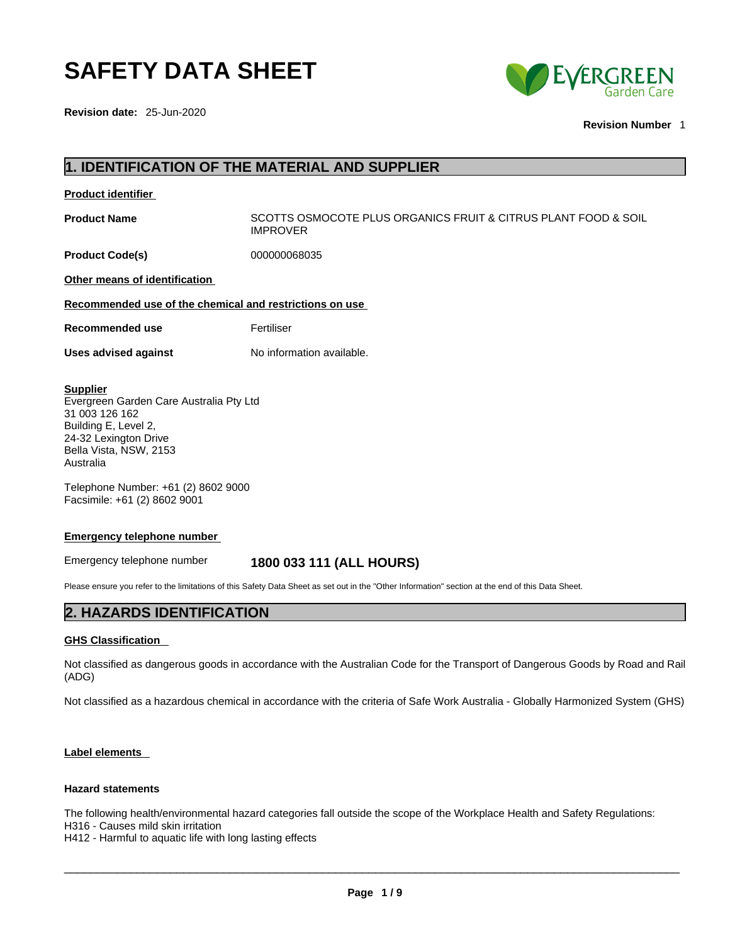## **SAFETY DATA SHEET**

**Revision date:** 25-Jun-2020



**Revision Number** 1

### **1. IDENTIFICATION OF THE MATERIAL AND SUPPLIER**

| <b>Product identifier</b> |  |
|---------------------------|--|
|                           |  |

**Product Name** SCOTTS OSMOCOTE PLUS ORGANICS FRUIT & CITRUS PLANT FOOD & SOIL IMPROVER

**Product Code(s)** 000000068035

**Other means of identification**

**Recommended use of the chemical and restrictions on use**

**Recommended use** Fertiliser

**Uses advised against** No information available.

#### **Supplier**

Evergreen Garden Care Australia Pty Ltd 31 003 126 162 Building E, Level 2, 24-32 Lexington Drive Bella Vista, NSW, 2153 Australia

Telephone Number: +61 (2) 8602 9000 Facsimile: +61 (2) 8602 9001

#### **Emergency telephone number**

### Emergency telephone number **1800 033 111 (ALL HOURS)**

Please ensure you refer to the limitations of this Safety Data Sheet as set out in the "Other Information" section at the end of this Data Sheet.

### **2. HAZARDS IDENTIFICATION**

### **GHS Classification**

Not classified as dangerous goods in accordance with the Australian Code for the Transport of Dangerous Goods by Road and Rail (ADG)

Not classified as a hazardous chemical in accordance with the criteria of Safe Work Australia - Globally Harmonized System (GHS)

### **Label elements**

#### **Hazard statements**

The following health/environmental hazard categories fall outside the scope of the Workplace Health and Safety Regulations: H316 - Causes mild skin irritation

H412 - Harmful to aquatic life with long lasting effects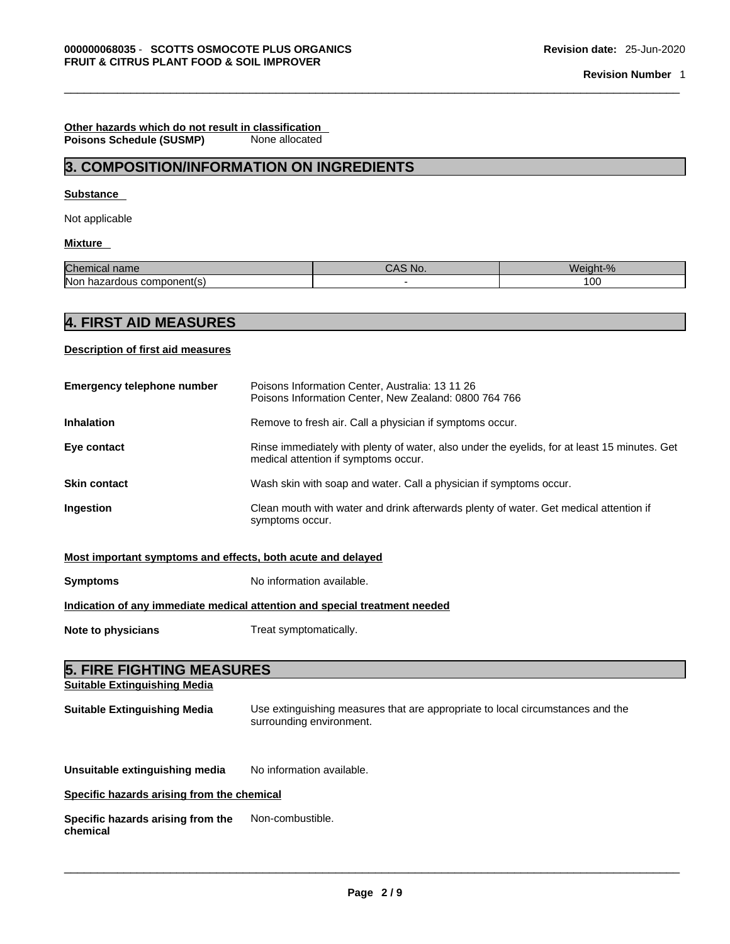### **Other hazards which do not result in classification Poisons Schedule (SUSMP)**

### **3. COMPOSITION/INFORMATION ON INGREDIENTS**

### **Substance**

Not applicable

### **Mixture**

| Chemical name                    | CAS No. | Weight-%       |
|----------------------------------|---------|----------------|
| lNon<br>hazardous component(s) * |         | $\sim$<br>∣ ∪∪ |

### **4. FIRST AID MEASURES**

### **Description of first aid measures**

| <b>Emergency telephone number</b> | Poisons Information Center, Australia: 13 11 26<br>Poisons Information Center, New Zealand: 0800 764 766                             |
|-----------------------------------|--------------------------------------------------------------------------------------------------------------------------------------|
| <b>Inhalation</b>                 | Remove to fresh air. Call a physician if symptoms occur.                                                                             |
| Eye contact                       | Rinse immediately with plenty of water, also under the eyelids, for at least 15 minutes. Get<br>medical attention if symptoms occur. |
| <b>Skin contact</b>               | Wash skin with soap and water. Call a physician if symptoms occur.                                                                   |
| <b>Ingestion</b>                  | Clean mouth with water and drink afterwards plenty of water. Get medical attention if<br>symptoms occur.                             |

### **Most important symptoms and effects, both acute and delayed**

| <b>Symptoms</b>                                                            | No information available.                                                                                  |  |
|----------------------------------------------------------------------------|------------------------------------------------------------------------------------------------------------|--|
| Indication of any immediate medical attention and special treatment needed |                                                                                                            |  |
| Note to physicians                                                         | Treat symptomatically.                                                                                     |  |
|                                                                            |                                                                                                            |  |
| <b>5. FIRE FIGHTING MEASURES</b>                                           |                                                                                                            |  |
| <b>Suitable Extinguishing Media</b>                                        |                                                                                                            |  |
| <b>Suitable Extinguishing Media</b>                                        | Use extinguishing measures that are appropriate to local circumstances and the<br>surrounding environment. |  |

**Unsuitable extinguishing media** No information available.

**Specific hazards arising from the chemical**

**Specific hazards arising from the chemical** Non-combustible.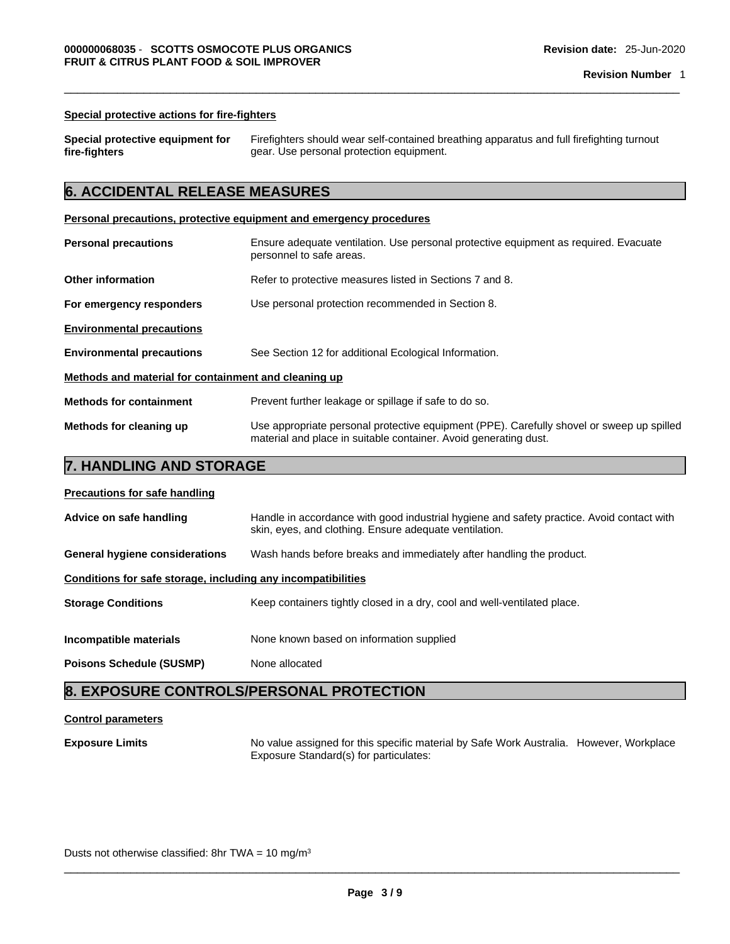### **Special protective actions for fire-fighters**

| Special protective equipment for |  |
|----------------------------------|--|
| fire-fighters                    |  |

**Special protective equipment for**Firefighters should wear self-contained breathing apparatus and full firefighting turnout gear. Use personal protection equipment.

### **6. ACCIDENTAL RELEASE MEASURES**

### **Personal precautions, protective equipment and emergency procedures**

| <b>Personal precautions</b>                          | Ensure adequate ventilation. Use personal protective equipment as required. Evacuate<br>personnel to safe areas.                                              |  |
|------------------------------------------------------|---------------------------------------------------------------------------------------------------------------------------------------------------------------|--|
| <b>Other information</b>                             | Refer to protective measures listed in Sections 7 and 8.                                                                                                      |  |
| For emergency responders                             | Use personal protection recommended in Section 8.                                                                                                             |  |
| <b>Environmental precautions</b>                     |                                                                                                                                                               |  |
| <b>Environmental precautions</b>                     | See Section 12 for additional Ecological Information.                                                                                                         |  |
| Methods and material for containment and cleaning up |                                                                                                                                                               |  |
| <b>Methods for containment</b>                       | Prevent further leakage or spillage if safe to do so.                                                                                                         |  |
| Methods for cleaning up                              | Use appropriate personal protective equipment (PPE). Carefully shovel or sweep up spilled<br>material and place in suitable container. Avoid generating dust. |  |

### **7. HANDLING AND STORAGE**

| <b>Precautions for safe handling</b> |  |
|--------------------------------------|--|
|                                      |  |

| Advice on safe handling                                      | Handle in accordance with good industrial hygiene and safety practice. Avoid contact with<br>skin, eyes, and clothing. Ensure adequate ventilation. |  |
|--------------------------------------------------------------|-----------------------------------------------------------------------------------------------------------------------------------------------------|--|
| <b>General hygiene considerations</b>                        | Wash hands before breaks and immediately after handling the product.                                                                                |  |
| Conditions for safe storage, including any incompatibilities |                                                                                                                                                     |  |
| <b>Storage Conditions</b>                                    | Keep containers tightly closed in a dry, cool and well-ventilated place.                                                                            |  |
| Incompatible materials                                       | None known based on information supplied                                                                                                            |  |
|                                                              |                                                                                                                                                     |  |
| <b>Poisons Schedule (SUSMP)</b>                              | None allocated                                                                                                                                      |  |

### **8. EXPOSURE CONTROLS/PERSONAL PROTECTION**

### **Control parameters**

**Exposure Limits** No value assigned for this specific material by Safe Work Australia. However, Workplace Exposure Standard(s) for particulates:

Dusts not otherwise classified: 8hr TWA =  $10 \text{ mg/m}^3$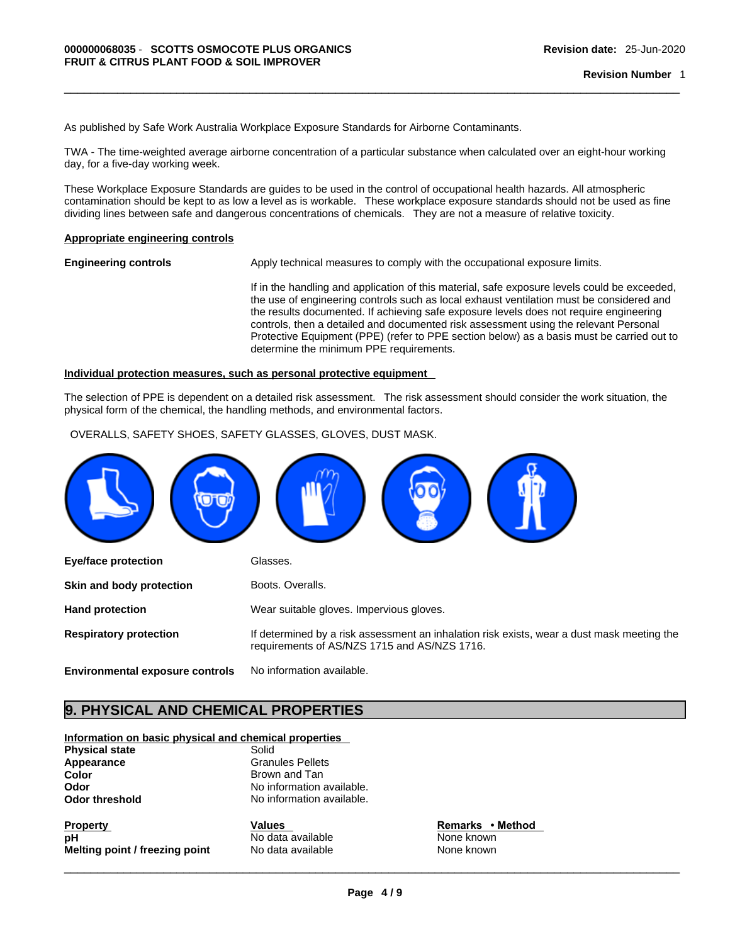As published by Safe Work Australia Workplace Exposure Standards for Airborne Contaminants.

TWA - The time-weighted average airborne concentration of a particular substance when calculated over an eight-hour working day, for a five-day working week.

These Workplace Exposure Standards are guides to be used in the control of occupational health hazards. All atmospheric contamination should be kept to as low a level as is workable. These workplace exposure standards should not be used as fine dividing lines between safe and dangerous concentrations of chemicals. They are not a measure of relative toxicity.

#### **Appropriate engineering controls**

**Engineering controls** Apply technical measures to comply with the occupational exposure limits.

If in the handling and application of this material, safe exposure levels could be exceeded, the use of engineering controls such as local exhaust ventilation must be considered and the results documented. If achieving safe exposure levels does not require engineering controls, then a detailed and documented risk assessment using the relevant Personal Protective Equipment (PPE) (refer to PPE section below) as a basis must be carried out to determine the minimum PPE requirements.

#### **Individual protection measures, such as personal protective equipment**

The selection of PPE is dependent on a detailed risk assessment. The risk assessment should consider the work situation, the physical form of the chemical, the handling methods, and environmental factors.

OVERALLS, SAFETY SHOES, SAFETY GLASSES, GLOVES, DUST MASK.



### **9. PHYSICAL AND CHEMICAL PROPERTIES**

**Information on basic physical and chemical properties**

| <b>Physical state</b> | Solid                   |
|-----------------------|-------------------------|
| Appearance            | <b>Granules Pellets</b> |
| Color                 | Brown and Tan           |
| Odor                  | No information av       |
| Odor threshold        | No information av       |
|                       |                         |

**Granules Pellets Color** Brown and Tan No information available. No information available.

**Property CONFINGTER SET ASSESS TO MANUAL Values Remarks • Method pH Remarks** • **Method pH Melting point / freezing point** No data available None None known

**No data available None known**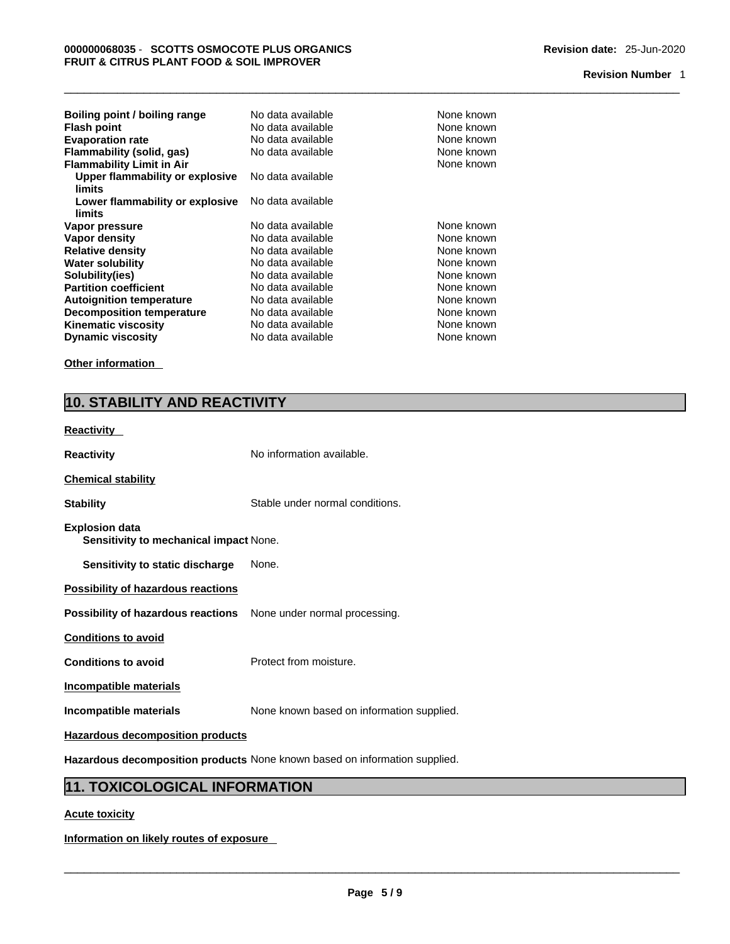### **Revision Number** 1

| Boiling point / boiling range    | No data available | None known |
|----------------------------------|-------------------|------------|
| <b>Flash point</b>               | No data available | None known |
| <b>Evaporation rate</b>          | No data available | None known |
| Flammability (solid, gas)        | No data available | None known |
| <b>Flammability Limit in Air</b> |                   | None known |
| Upper flammability or explosive  | No data available |            |
| limits                           |                   |            |
| Lower flammability or explosive  | No data available |            |
| limits                           |                   |            |
| Vapor pressure                   | No data available | None known |
| Vapor density                    | No data available | None known |
| <b>Relative density</b>          | No data available | None known |
| <b>Water solubility</b>          | No data available | None known |
| Solubility(ies)                  | No data available | None known |
| <b>Partition coefficient</b>     | No data available | None known |
| <b>Autoignition temperature</b>  | No data available | None known |
| <b>Decomposition temperature</b> | No data available | None known |
| <b>Kinematic viscosity</b>       | No data available | None known |
| <b>Dynamic viscosity</b>         | No data available | None known |

**Other information** 

### **10. STABILITY AND REACTIVITY**

# **Reactivity**

| <b>Reactivity</b>                                                       | No information available.                 |
|-------------------------------------------------------------------------|-------------------------------------------|
| <b>Chemical stability</b>                                               |                                           |
| <b>Stability</b>                                                        | Stable under normal conditions.           |
| <b>Explosion data</b><br>Sensitivity to mechanical impact None.         |                                           |
| Sensitivity to static discharge                                         | None.                                     |
| <b>Possibility of hazardous reactions</b>                               |                                           |
| <b>Possibility of hazardous reactions</b> None under normal processing. |                                           |
| <b>Conditions to avoid</b>                                              |                                           |
| <b>Conditions to avoid</b>                                              | Protect from moisture.                    |
| Incompatible materials                                                  |                                           |
| Incompatible materials                                                  | None known based on information supplied. |
| <b>Hazardous decomposition products</b>                                 |                                           |

**Hazardous decomposition products** None known based on information supplied.

### **11. TOXICOLOGICAL INFORMATION**

### **Acute toxicity**

**Information on likely routes of exposure**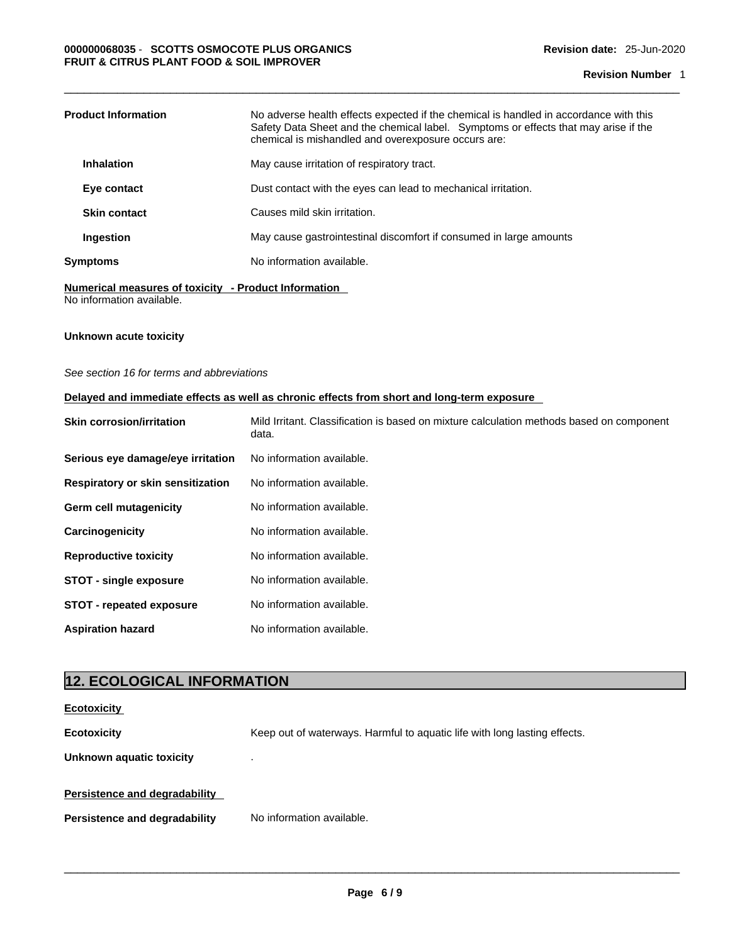| <b>Product Information</b> | No adverse health effects expected if the chemical is handled in accordance with this<br>Safety Data Sheet and the chemical label. Symptoms or effects that may arise if the<br>chemical is mishandled and overexposure occurs are: |
|----------------------------|-------------------------------------------------------------------------------------------------------------------------------------------------------------------------------------------------------------------------------------|
| <b>Inhalation</b>          | May cause irritation of respiratory tract.                                                                                                                                                                                          |
| Eye contact                | Dust contact with the eyes can lead to mechanical irritation.                                                                                                                                                                       |
| <b>Skin contact</b>        | Causes mild skin irritation.                                                                                                                                                                                                        |
| Ingestion                  | May cause gastrointestinal discomfort if consumed in large amounts                                                                                                                                                                  |
| Svmptoms                   | No information available.                                                                                                                                                                                                           |

**Numerical measures of toxicity - Product Information** No information available.

### **Unknown acute toxicity**

*See section 16 for terms and abbreviations* 

### **Delayed and immediate effects as well as chronic effects from short and long-term exposure**

| <b>Skin corrosion/irritation</b>  | Mild Irritant. Classification is based on mixture calculation methods based on component<br>data. |
|-----------------------------------|---------------------------------------------------------------------------------------------------|
| Serious eye damage/eye irritation | No information available.                                                                         |
| Respiratory or skin sensitization | No information available.                                                                         |
| Germ cell mutagenicity            | No information available.                                                                         |
| Carcinogenicity                   | No information available.                                                                         |
| <b>Reproductive toxicity</b>      | No information available.                                                                         |
| <b>STOT - single exposure</b>     | No information available.                                                                         |
| <b>STOT</b> - repeated exposure   | No information available.                                                                         |
| <b>Aspiration hazard</b>          | No information available.                                                                         |

### **12. ECOLOGICAL INFORMATION**

| <b>Ecotoxicity</b>                   |                                                                           |  |  |  |
|--------------------------------------|---------------------------------------------------------------------------|--|--|--|
| <b>Ecotoxicity</b>                   | Keep out of waterways. Harmful to aquatic life with long lasting effects. |  |  |  |
| Unknown aquatic toxicity             |                                                                           |  |  |  |
| <b>Persistence and degradability</b> |                                                                           |  |  |  |
| <b>Persistence and degradability</b> | No information available.                                                 |  |  |  |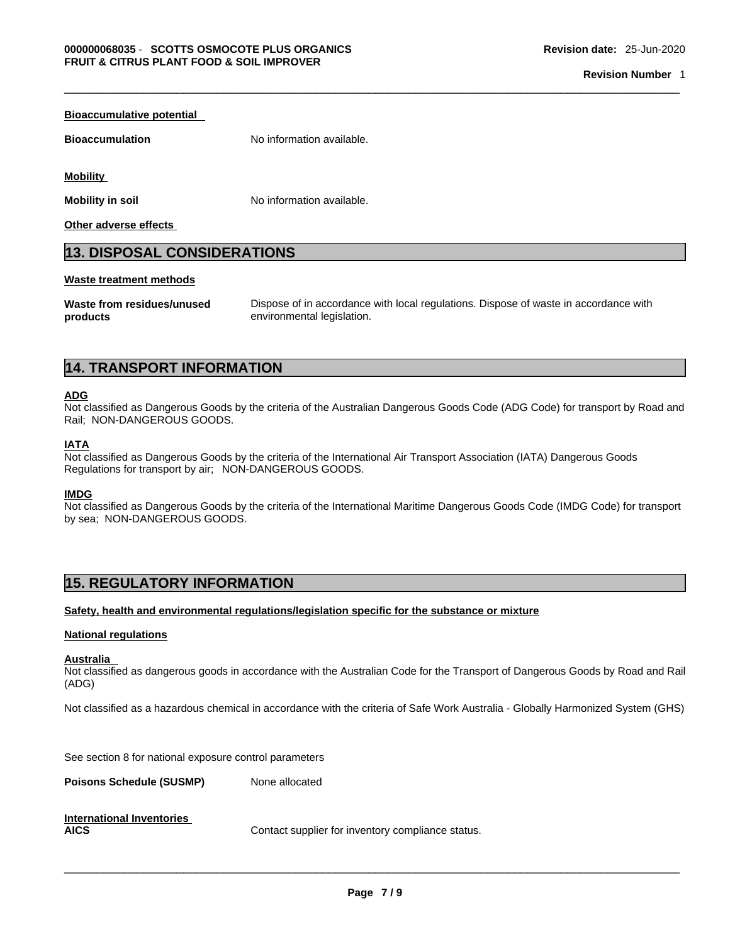| <b>Bioaccumulative potential</b>   |                           |  |  |  |
|------------------------------------|---------------------------|--|--|--|
| <b>Bioaccumulation</b>             | No information available. |  |  |  |
| <b>Mobility</b>                    |                           |  |  |  |
| <b>Mobility in soil</b>            | No information available. |  |  |  |
| Other adverse effects              |                           |  |  |  |
| <b>13. DISPOSAL CONSIDERATIONS</b> |                           |  |  |  |
| Waste treatment methods            |                           |  |  |  |

**Waste from residues/unused products** 

Dispose of in accordance with local regulations. Dispose of waste in accordance with environmental legislation.

### **14. TRANSPORT INFORMATION**

### **ADG**

Not classified as Dangerous Goods by the criteria of the Australian Dangerous Goods Code (ADG Code) for transport by Road and Rail; NON-DANGEROUS GOODS.

### **IATA**

Not classified as Dangerous Goods by the criteria of the International Air Transport Association (IATA) Dangerous Goods Regulations for transport by air; NON-DANGEROUS GOODS.

### **IMDG**

Not classified as Dangerous Goods by the criteria of the International Maritime Dangerous Goods Code (IMDG Code) for transport by sea; NON-DANGEROUS GOODS.

### **15. REGULATORY INFORMATION**

### **Safety, health and environmental regulations/legislation specific for the substance or mixture**

#### **National regulations**

#### **Australia**

Not classified as dangerous goods in accordance with the Australian Code for the Transport of Dangerous Goods by Road and Rail (ADG)

Not classified as a hazardous chemical in accordance with the criteria of Safe Work Australia - Globally Harmonized System (GHS)

See section 8 for national exposure control parameters

**Poisons Schedule (SUSMP)** None allocated

| <b>International Inventories</b> |            |
|----------------------------------|------------|
| <b>AICS</b>                      | Contact su |

**Supplier for inventory compliance status.**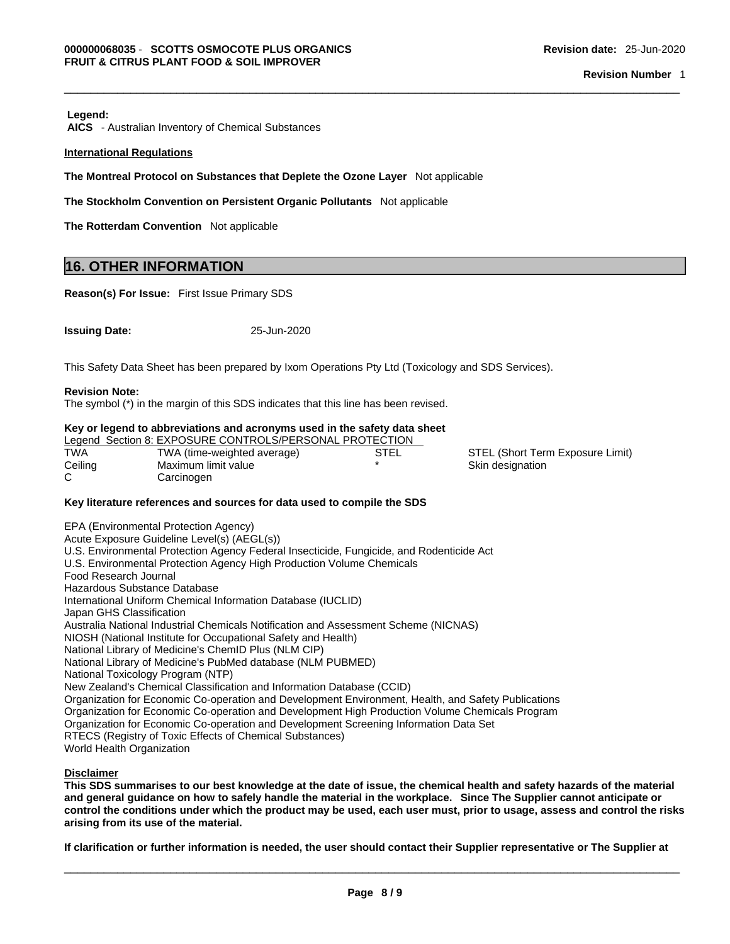#### **Legend:**

 **AICS** - Australian Inventory of Chemical Substances

#### **International Regulations**

**The Montreal Protocol on Substances that Deplete the Ozone Layer** Not applicable

**The Stockholm Convention on Persistent Organic Pollutants** Not applicable

**The Rotterdam Convention** Not applicable

### **16. OTHER INFORMATION**

**Reason(s) For Issue:** First Issue Primary SDS

| <b>Issuing Date:</b> | 25-Jun-2020 |
|----------------------|-------------|
|----------------------|-------------|

This Safety Data Sheet has been prepared by Ixom Operations Pty Ltd (Toxicology and SDS Services).

#### **Revision Note:**

The symbol (\*) in the margin of this SDS indicates that this line has been revised.

#### **Key or legend to abbreviations and acronyms used in the safety data sheet**

|         | Legend Section 8: EXPOSURE CONTROLS/PERSONAL PROTECTION |      |                                  |
|---------|---------------------------------------------------------|------|----------------------------------|
| TWA     | TWA (time-weighted average)                             | STEL | STEL (Short Term Exposure Limit) |
| Ceiling | Maximum limit value                                     |      | Skin designation                 |
|         | Carcinogen                                              |      |                                  |

#### **Key literature references and sources for data used to compile the SDS**

EPA (Environmental Protection Agency) Acute Exposure Guideline Level(s) (AEGL(s)) U.S. Environmental Protection Agency Federal Insecticide, Fungicide, and Rodenticide Act U.S. Environmental Protection Agency High Production Volume Chemicals Food Research Journal Hazardous Substance Database International Uniform Chemical Information Database (IUCLID) Japan GHS Classification Australia National Industrial Chemicals Notification and Assessment Scheme (NICNAS) NIOSH (National Institute for Occupational Safety and Health) National Library of Medicine's ChemID Plus (NLM CIP) National Library of Medicine's PubMed database (NLM PUBMED) National Toxicology Program (NTP) New Zealand's Chemical Classification and Information Database (CCID) Organization for Economic Co-operation and Development Environment, Health, and Safety Publications Organization for Economic Co-operation and Development High Production Volume Chemicals Program Organization for Economic Co-operation and Development Screening Information Data Set RTECS (Registry of Toxic Effects of Chemical Substances) World Health Organization

### **Disclaimer**

This SDS summarises to our best knowledge at the date of issue, the chemical health and safety hazards of the material and general guidance on how to safely handle the material in the workplace. Since The Supplier cannot anticipate or control the conditions under which the product may be used, each user must, prior to usage, assess and control the risks **arising from its use of the material.**

If clarification or further information is needed, the user should contact their Supplier representative or The Supplier at